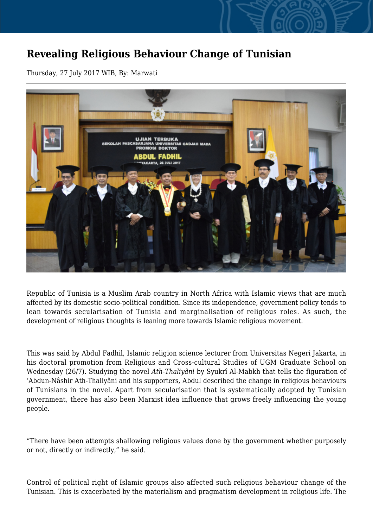## **Revealing Religious Behaviour Change of Tunisian**

Thursday, 27 July 2017 WIB, By: Marwati



Republic of Tunisia is a Muslim Arab country in North Africa with Islamic views that are much affected by its domestic socio-political condition. Since its independence, government policy tends to lean towards secularisation of Tunisia and marginalisation of religious roles. As such, the development of religious thoughts is leaning more towards Islamic religious movement.

This was said by Abdul Fadhil, Islamic religion science lecturer from Universitas Negeri Jakarta, in his doctoral promotion from Religious and Cross-cultural Studies of UGM Graduate School on Wednesday (26/7). Studying the novel *Ath-Thaliyâni* by Syukrî Al-Mabkh that tells the figuration of 'Abdun-Nâshir Ath-Thaliyâni and his supporters, Abdul described the change in religious behaviours of Tunisians in the novel. Apart from secularisation that is systematically adopted by Tunisian government, there has also been Marxist idea influence that grows freely influencing the young people.

"There have been attempts shallowing religious values done by the government whether purposely or not, directly or indirectly," he said.

Control of political right of Islamic groups also affected such religious behaviour change of the Tunisian. This is exacerbated by the materialism and pragmatism development in religious life. The